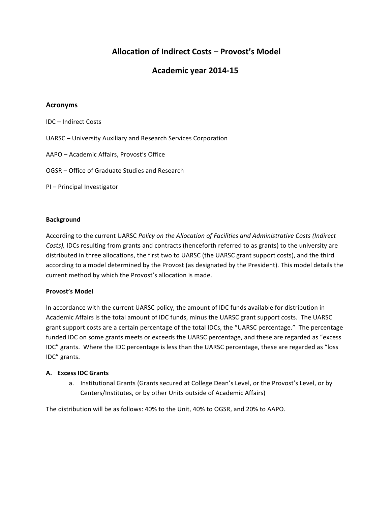# **Allocation of Indirect Costs – Provost's Model**

## **Academic year 2014-15**

### **Acronyms**

IDC – Indirect Costs UARSC – University Auxiliary and Research Services Corporation AAPO - Academic Affairs, Provost's Office OGSR – Office of Graduate Studies and Research PI – Principal Investigator

#### **Background**

According to the current UARSC *Policy on the Allocation of Facilities and Administrative Costs (Indirect* Costs), IDCs resulting from grants and contracts (henceforth referred to as grants) to the university are distributed in three allocations, the first two to UARSC (the UARSC grant support costs), and the third according to a model determined by the Provost (as designated by the President). This model details the current method by which the Provost's allocation is made.

#### **Provost's Model**

In accordance with the current UARSC policy, the amount of IDC funds available for distribution in Academic Affairs is the total amount of IDC funds, minus the UARSC grant support costs. The UARSC grant support costs are a certain percentage of the total IDCs, the "UARSC percentage." The percentage funded IDC on some grants meets or exceeds the UARSC percentage, and these are regarded as "excess IDC" grants. Where the IDC percentage is less than the UARSC percentage, these are regarded as "loss IDC" grants.

#### **A. Excess IDC Grants**

a. Institutional Grants (Grants secured at College Dean's Level, or the Provost's Level, or by Centers/Institutes, or by other Units outside of Academic Affairs)

The distribution will be as follows: 40% to the Unit, 40% to OGSR, and 20% to AAPO.